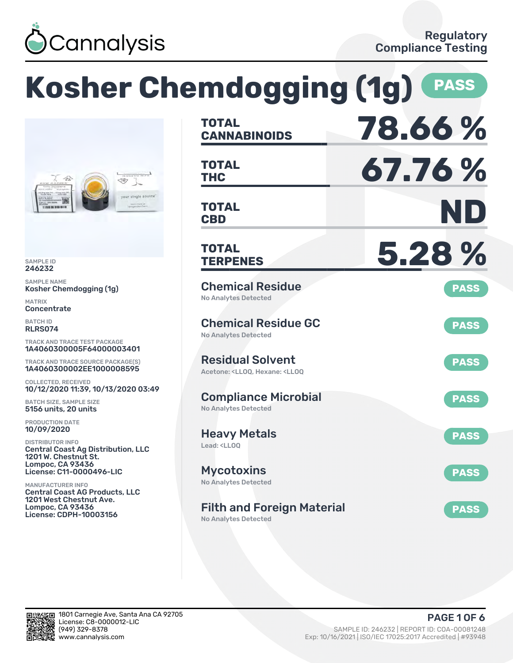

|                                                                                                                            | <b>Kosher Chemdogging (1g)</b>                                                                     | <b>PASS</b> |
|----------------------------------------------------------------------------------------------------------------------------|----------------------------------------------------------------------------------------------------|-------------|
|                                                                                                                            | <b>TOTAL</b><br><b>CANNABINOIDS</b>                                                                | 78.66%      |
| 45<br>√₩,                                                                                                                  | <b>TOTAL</b><br><b>THC</b>                                                                         | 67.76%      |
| your single source<br>Leyconden Farm<br>11999 88 999 991 91                                                                | <b>TOTAL</b><br><b>CBD</b>                                                                         | ND          |
| <b>SAMPLE ID</b><br>246232                                                                                                 | TOTAL<br><b>TERPENES</b>                                                                           | 5.28 %      |
| <b>SAMPLE NAME</b><br>Kosher Chemdogging (1g)<br><b>MATRIX</b>                                                             | <b>Chemical Residue</b><br><b>No Analytes Detected</b>                                             | <b>PASS</b> |
| Concentrate<br><b>BATCH ID</b><br><b>RLRS074</b><br><b>TRACK AND TRACE TEST PACKAGE</b>                                    | <b>Chemical Residue GC</b><br><b>No Analytes Detected</b>                                          | <b>PASS</b> |
| 1A4060300005F64000003401<br><b>TRACK AND TRACE SOURCE PACKAGE(S)</b><br>1A4060300002EE1000008595                           | <b>Residual Solvent</b><br>Acetone: <lloq, <lloq<="" hexane:="" td=""><td><b>PASS</b></td></lloq,> | <b>PASS</b> |
| <b>COLLECTED, RECEIVED</b><br>10/12/2020 11:39, 10/13/2020 03:49<br><b>BATCH SIZE, SAMPLE SIZE</b><br>5156 units, 20 units | <b>Compliance Microbial</b><br><b>No Analytes Detected</b>                                         | <b>PASS</b> |
| PRODUCTION DATE<br>10/09/2020<br><b>DISTRIBUTOR INFO</b><br><b>Central Coast Ag Distribution, LLC</b>                      | <b>Heavy Metals</b><br>Lead: <lloq< td=""><td><b>PASS</b></td></lloq<>                             | <b>PASS</b> |
| 1201 W. Chestnut St.<br><b>Lompoc, CA 93436</b><br>License: C11-0000496-LIC<br><b>MANUFACTURER INFO</b>                    | <b>Mycotoxins</b><br><b>No Analytes Detected</b>                                                   | <b>PASS</b> |
| <b>Central Coast AG Products, LLC</b><br>1201 West Chestnut Ave.<br><b>Lompoc, CA 93436</b><br>License: CDPH-10003156      | <b>Filth and Foreign Material</b><br><b>No Analytes Detected</b>                                   | <b>PASS</b> |

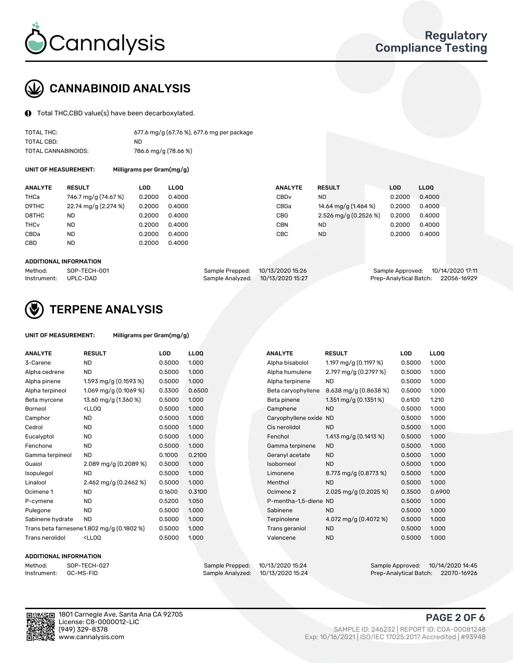

# CANNABINOID ANALYSIS

Total THC,CBD value(s) have been decarboxylated.

| TOTAL THC:          | 677.6 mg/g (67.76 %), 677.6 mg per package |
|---------------------|--------------------------------------------|
| TOTAL CBD:          | ND.                                        |
| TOTAL CANNABINOIDS: | 786.6 mg/g (78.66 %)                       |

UNIT OF MEASUREMENT:

|  | Milligrams per Gram(mg/g) |  |
|--|---------------------------|--|
|--|---------------------------|--|

| <b>ANALYTE</b>         | <b>RESULT</b>        | LOD    | <b>LLOO</b> | <b>ANALYTE</b>   | <b>RESULT</b>         | <b>LOD</b> | LL <sub>00</sub> |
|------------------------|----------------------|--------|-------------|------------------|-----------------------|------------|------------------|
| THCa                   | 746.7 mg/g (74.67 %) | 0.2000 | 0.4000      | CBD <sub>v</sub> | ND.                   | 0.2000     | 0.4000           |
| D9THC                  | 22.74 mg/g (2.274 %) | 0.2000 | 0.4000      | CBGa             | 14.64 mg/g (1.464 %)  | 0.2000     | 0.4000           |
| D8THC                  | ND                   | 0.2000 | 0.4000      | <b>CBG</b>       | 2.526 mg/g (0.2526 %) | 0.2000     | 0.4000           |
| <b>THC<sub>v</sub></b> | ND                   | 0.2000 | 0.4000      | CBN              | <b>ND</b>             | 0.2000     | 0.4000           |
| CBDa                   | <b>ND</b>            | 0.2000 | 0.4000      | CBC              | <b>ND</b>             | 0.2000     | 0.4000           |
| <b>CBD</b>             | <b>ND</b>            | 0.2000 | 0.4000      |                  |                       |            |                  |
|                        |                      |        |             |                  |                       |            |                  |

#### ADDITIONAL INFORMATION

| Method:              | SOP-TECH-001 | Sample Prepped: 10/13/2020 15:26  | Sample Approved: 10/14/2020 17:11  |  |
|----------------------|--------------|-----------------------------------|------------------------------------|--|
| Instrument: UPLC-DAD |              | Sample Analyzed: 10/13/2020 15:27 | Prep-Analytical Batch: 22056-16929 |  |



### TERPENE ANALYSIS

| UNIT OF MEASUREMENT: | Milligrams per Gram(mg/g) |
|----------------------|---------------------------|
|----------------------|---------------------------|

| <b>ANALYTE</b>   | <b>RESULT</b>                                                                                                       | <b>LOD</b> | <b>LLOQ</b> | <b>ANALYTE</b>         | <b>RESULT</b>            | <b>LOD</b> | <b>LLOQ</b> |
|------------------|---------------------------------------------------------------------------------------------------------------------|------------|-------------|------------------------|--------------------------|------------|-------------|
| 3-Carene         | <b>ND</b>                                                                                                           | 0.5000     | 1.000       | Alpha bisabolol        | 1.197 mg/g $(0.1197%)$   | 0.5000     | 1.000       |
| Alpha cedrene    | <b>ND</b>                                                                                                           | 0.5000     | 1.000       | Alpha humulene         | 2.797 mg/g (0.2797 %)    | 0.5000     | 1.000       |
| Alpha pinene     | 1.593 mg/g (0.1593 %)                                                                                               | 0.5000     | 1.000       | Alpha terpinene        | <b>ND</b>                | 0.5000     | 1.000       |
| Alpha terpineol  | 1.069 mg/g (0.1069 %)                                                                                               | 0.3300     | 0.6500      | Beta caryophyllene     | 8.638 mg/g (0.8638 %)    | 0.5000     | 1.000       |
| Beta myrcene     | 13.60 mg/g (1.360 %)                                                                                                | 0.5000     | 1.000       | Beta pinene            | 1.351 mg/g $(0.1351\%)$  | 0.6100     | 1.210       |
| Borneol          | <lloq< td=""><td>0.5000</td><td>1.000</td><td>Camphene</td><td><b>ND</b></td><td>0.5000</td><td>1.000</td></lloq<>  | 0.5000     | 1.000       | Camphene               | <b>ND</b>                | 0.5000     | 1.000       |
| Camphor          | <b>ND</b>                                                                                                           | 0.5000     | 1.000       | Caryophyllene oxide ND |                          | 0.5000     | 1.000       |
| Cedrol           | <b>ND</b>                                                                                                           | 0.5000     | 1.000       | Cis nerolidol          | <b>ND</b>                | 0.5000     | 1.000       |
| Eucalyptol       | <b>ND</b>                                                                                                           | 0.5000     | 1.000       | Fenchol                | 1.413 mg/g $(0.1413 \%)$ | 0.5000     | 1.000       |
| Fenchone         | <b>ND</b>                                                                                                           | 0.5000     | 1.000       | Gamma terpinene        | <b>ND</b>                | 0.5000     | 1.000       |
| Gamma terpineol  | <b>ND</b>                                                                                                           | 0.1000     | 0.2100      | Geranyl acetate        | <b>ND</b>                | 0.5000     | 1.000       |
| Guaiol           | 2.089 mg/g $(0.2089\%)$                                                                                             | 0.5000     | 1.000       | Isoborneol             | <b>ND</b>                | 0.5000     | 1.000       |
| Isopulegol       | <b>ND</b>                                                                                                           | 0.5000     | 1.000       | Limonene               | 8.773 mg/g (0.8773 %)    | 0.5000     | 1.000       |
| Linalool         | 2.462 mg/g (0.2462 %)                                                                                               | 0.5000     | 1.000       | Menthol                | <b>ND</b>                | 0.5000     | 1.000       |
| Ocimene 1        | <b>ND</b>                                                                                                           | 0.1600     | 0.3100      | Ocimene 2              | 2.025 mg/g (0.2025 %)    | 0.3500     | 0.6900      |
| P-cymene         | <b>ND</b>                                                                                                           | 0.5200     | 1.050       | P-mentha-1,5-diene ND  |                          | 0.5000     | 1.000       |
| Pulegone         | <b>ND</b>                                                                                                           | 0.5000     | 1.000       | Sabinene               | <b>ND</b>                | 0.5000     | 1.000       |
| Sabinene hydrate | <b>ND</b>                                                                                                           | 0.5000     | 1.000       | Terpinolene            | 4.072 mg/g $(0.4072 \%)$ | 0.5000     | 1.000       |
|                  | Trans beta farnesene1.802 mg/g (0.1802 %)                                                                           | 0.5000     | 1.000       | Trans geraniol         | <b>ND</b>                | 0.5000     | 1.000       |
| Trans nerolidol  | <lloq< td=""><td>0.5000</td><td>1.000</td><td>Valencene</td><td><b>ND</b></td><td>0.5000</td><td>1.000</td></lloq<> | 0.5000     | 1.000       | Valencene              | <b>ND</b>                | 0.5000     | 1.000       |

### ADDITIONAL INFORMATION

| Method:     | SOP-TEC |
|-------------|---------|
| Instrument: | GC-MS-F |

Method: SOP-TECH-027 Sample Prepped: 10/13/2020 15:24 Sample Approved: 10/14/2020 14:45 Prep-Analytical Batch: 22070-16926

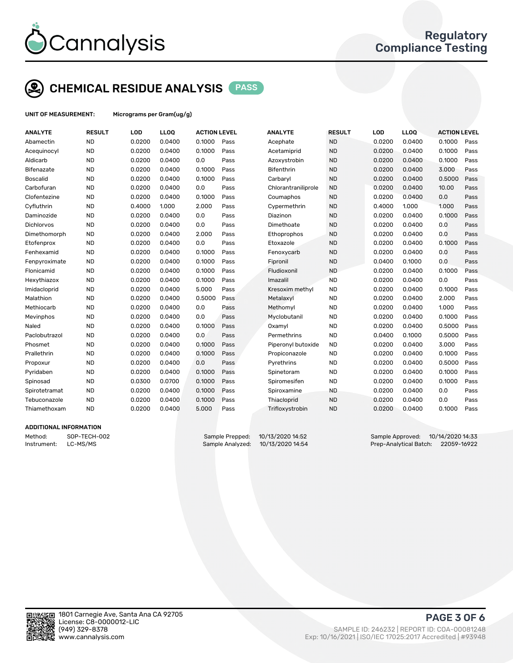

# CHEMICAL RESIDUE ANALYSIS PASS

UNIT OF MEASUREMENT: Micrograms per Gram(ug/g)

| <b>ANALYTE</b>    | <b>RESULT</b> | LOD    | LLOQ   | <b>ACTION LEVEL</b> |      | <b>ANALYTE</b>      | <b>RESULT</b> | <b>LOD</b> | <b>LLOQ</b> | <b>ACTION LEVEL</b> |      |
|-------------------|---------------|--------|--------|---------------------|------|---------------------|---------------|------------|-------------|---------------------|------|
| Abamectin         | <b>ND</b>     | 0.0200 | 0.0400 | 0.1000              | Pass | Acephate            | <b>ND</b>     | 0.0200     | 0.0400      | 0.1000              | Pass |
| Acequinocyl       | <b>ND</b>     | 0.0200 | 0.0400 | 0.1000              | Pass | Acetamiprid         | <b>ND</b>     | 0.0200     | 0.0400      | 0.1000              | Pass |
| Aldicarb          | <b>ND</b>     | 0.0200 | 0.0400 | 0.0                 | Pass | Azoxystrobin        | <b>ND</b>     | 0.0200     | 0.0400      | 0.1000              | Pass |
| <b>Bifenazate</b> | <b>ND</b>     | 0.0200 | 0.0400 | 0.1000              | Pass | <b>Bifenthrin</b>   | <b>ND</b>     | 0.0200     | 0.0400      | 3.000               | Pass |
| <b>Boscalid</b>   | <b>ND</b>     | 0.0200 | 0.0400 | 0.1000              | Pass | Carbaryl            | <b>ND</b>     | 0.0200     | 0.0400      | 0.5000              | Pass |
| Carbofuran        | <b>ND</b>     | 0.0200 | 0.0400 | 0.0                 | Pass | Chlorantraniliprole | <b>ND</b>     | 0.0200     | 0.0400      | 10.00               | Pass |
| Clofentezine      | <b>ND</b>     | 0.0200 | 0.0400 | 0.1000              | Pass | Coumaphos           | <b>ND</b>     | 0.0200     | 0.0400      | 0.0                 | Pass |
| Cyfluthrin        | <b>ND</b>     | 0.4000 | 1.000  | 2.000               | Pass | Cypermethrin        | <b>ND</b>     | 0.4000     | 1.000       | 1.000               | Pass |
| Daminozide        | <b>ND</b>     | 0.0200 | 0.0400 | 0.0                 | Pass | Diazinon            | <b>ND</b>     | 0.0200     | 0.0400      | 0.1000              | Pass |
| Dichlorvos        | <b>ND</b>     | 0.0200 | 0.0400 | 0.0                 | Pass | Dimethoate          | <b>ND</b>     | 0.0200     | 0.0400      | 0.0                 | Pass |
| Dimethomorph      | <b>ND</b>     | 0.0200 | 0.0400 | 2.000               | Pass | Ethoprophos         | <b>ND</b>     | 0.0200     | 0.0400      | 0.0                 | Pass |
| Etofenprox        | <b>ND</b>     | 0.0200 | 0.0400 | 0.0                 | Pass | Etoxazole           | <b>ND</b>     | 0.0200     | 0.0400      | 0.1000              | Pass |
| Fenhexamid        | <b>ND</b>     | 0.0200 | 0.0400 | 0.1000              | Pass | Fenoxycarb          | <b>ND</b>     | 0.0200     | 0.0400      | 0.0                 | Pass |
| Fenpyroximate     | <b>ND</b>     | 0.0200 | 0.0400 | 0.1000              | Pass | Fipronil            | <b>ND</b>     | 0.0400     | 0.1000      | 0.0                 | Pass |
| Flonicamid        | <b>ND</b>     | 0.0200 | 0.0400 | 0.1000              | Pass | Fludioxonil         | <b>ND</b>     | 0.0200     | 0.0400      | 0.1000              | Pass |
| Hexythiazox       | <b>ND</b>     | 0.0200 | 0.0400 | 0.1000              | Pass | Imazalil            | <b>ND</b>     | 0.0200     | 0.0400      | 0.0                 | Pass |
| Imidacloprid      | <b>ND</b>     | 0.0200 | 0.0400 | 5.000               | Pass | Kresoxim methyl     | <b>ND</b>     | 0.0200     | 0.0400      | 0.1000              | Pass |
| Malathion         | <b>ND</b>     | 0.0200 | 0.0400 | 0.5000              | Pass | Metalaxyl           | <b>ND</b>     | 0.0200     | 0.0400      | 2.000               | Pass |
| Methiocarb        | <b>ND</b>     | 0.0200 | 0.0400 | 0.0                 | Pass | Methomyl            | <b>ND</b>     | 0.0200     | 0.0400      | 1.000               | Pass |
| Mevinphos         | <b>ND</b>     | 0.0200 | 0.0400 | 0.0                 | Pass | Myclobutanil        | <b>ND</b>     | 0.0200     | 0.0400      | 0.1000              | Pass |
| Naled             | <b>ND</b>     | 0.0200 | 0.0400 | 0.1000              | Pass | Oxamyl              | <b>ND</b>     | 0.0200     | 0.0400      | 0.5000              | Pass |
| Paclobutrazol     | <b>ND</b>     | 0.0200 | 0.0400 | 0.0                 | Pass | Permethrins         | <b>ND</b>     | 0.0400     | 0.1000      | 0.5000              | Pass |
| Phosmet           | <b>ND</b>     | 0.0200 | 0.0400 | 0.1000              | Pass | Piperonyl butoxide  | <b>ND</b>     | 0.0200     | 0.0400      | 3.000               | Pass |
| Prallethrin       | <b>ND</b>     | 0.0200 | 0.0400 | 0.1000              | Pass | Propiconazole       | <b>ND</b>     | 0.0200     | 0.0400      | 0.1000              | Pass |
| Propoxur          | <b>ND</b>     | 0.0200 | 0.0400 | 0.0                 | Pass | Pyrethrins          | <b>ND</b>     | 0.0200     | 0.0400      | 0.5000              | Pass |
| Pyridaben         | <b>ND</b>     | 0.0200 | 0.0400 | 0.1000              | Pass | Spinetoram          | <b>ND</b>     | 0.0200     | 0.0400      | 0.1000              | Pass |
| Spinosad          | <b>ND</b>     | 0.0300 | 0.0700 | 0.1000              | Pass | Spiromesifen        | <b>ND</b>     | 0.0200     | 0.0400      | 0.1000              | Pass |
| Spirotetramat     | <b>ND</b>     | 0.0200 | 0.0400 | 0.1000              | Pass | Spiroxamine         | ND.           | 0.0200     | 0.0400      | 0.0                 | Pass |
| Tebuconazole      | <b>ND</b>     | 0.0200 | 0.0400 | 0.1000              | Pass | Thiacloprid         | <b>ND</b>     | 0.0200     | 0.0400      | 0.0                 | Pass |
| Thiamethoxam      | <b>ND</b>     | 0.0200 | 0.0400 | 5.000               | Pass | Trifloxystrobin     | <b>ND</b>     | 0.0200     | 0.0400      | 0.1000              | Pass |
|                   |               |        |        |                     |      |                     |               |            |             |                     |      |

### ADDITIONAL INFORMATION

Method: SOP-TECH-002 Sample Prepped: 10/13/2020 14:52 Sample Approved: 10/14/2020 14:33 Instrument: LC-MS/MS Sample Analyzed: 10/13/2020 14:54 Prep-Analytical Batch: 22059-16922



PAGE 3 OF 6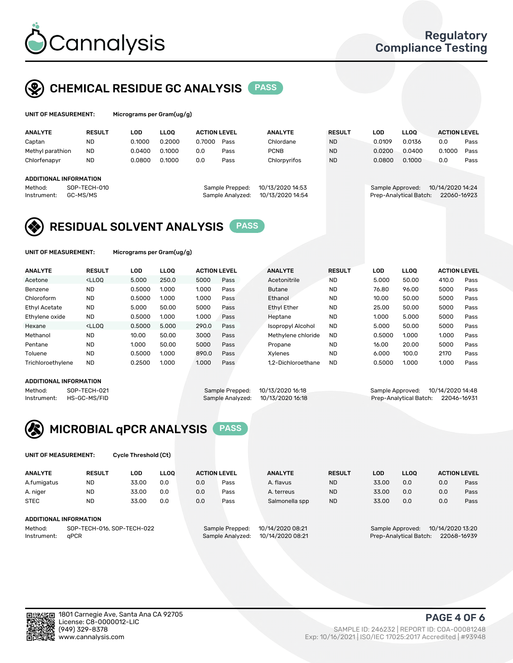

## CHEMICAL RESIDUE GC ANALYSIS PASS

| UNIT OF MEASUREMENT: | Microg |
|----------------------|--------|
|----------------------|--------|

yrams per Gram(ug/g)

| <b>ANALYTE</b>         | <b>RESULT</b>            | LOD    | <b>LLOO</b> | <b>ACTION LEVEL</b> |                                     | <b>ANALYTE</b>                       | <b>RESULT</b> | <b>LOD</b> | <b>LLOO</b>                                | <b>ACTION LEVEL</b>             |      |
|------------------------|--------------------------|--------|-------------|---------------------|-------------------------------------|--------------------------------------|---------------|------------|--------------------------------------------|---------------------------------|------|
| Captan                 | ND                       | 0.1000 | 0.2000      | 0.7000              | Pass                                | Chlordane                            | <b>ND</b>     | 0.0109     | 0.0136                                     | 0.0                             | Pass |
| Methyl parathion       | <b>ND</b>                | 0.0400 | 0.1000      | 0.0                 | Pass                                | <b>PCNB</b>                          | <b>ND</b>     | 0.0200     | 0.0400                                     | 0.1000                          | Pass |
| Chlorfenapyr           | <b>ND</b>                | 0.0800 | 0.1000      | 0.0                 | Pass                                | Chlorpyrifos                         | <b>ND</b>     | 0.0800     | 0.1000                                     | 0.0                             | Pass |
| ADDITIONAL INFORMATION |                          |        |             |                     |                                     |                                      |               |            |                                            |                                 |      |
| Method:<br>Instrument: | SOP-TECH-010<br>GC-MS/MS |        |             |                     | Sample Prepped:<br>Sample Analyzed: | 10/13/2020 14:53<br>10/13/2020 14:54 |               |            | Sample Approved:<br>Prep-Analytical Batch: | 10/14/2020 14:24<br>22060-16923 |      |

### RESIDUAL SOLVENT ANALYSIS PASS

UNIT OF MEASUREMENT: Micrograms per Gram(ug/g)

| <b>ANALYTE</b>       | <b>RESULT</b>                                                                                                                                                                          | LOD    | <b>LLOO</b> | <b>ACTION LEVEL</b> |      | <b>ANALYTE</b>           | <b>RESULT</b> | LOD    | <b>LLOO</b> | <b>ACTION LEVEL</b> |      |
|----------------------|----------------------------------------------------------------------------------------------------------------------------------------------------------------------------------------|--------|-------------|---------------------|------|--------------------------|---------------|--------|-------------|---------------------|------|
| Acetone              | <lloq< td=""><td>5.000</td><td>250.0</td><td>5000</td><td>Pass</td><td>Acetonitrile</td><td><b>ND</b></td><td>5.000</td><td>50.00</td><td>410.0</td><td>Pass</td></lloq<>              | 5.000  | 250.0       | 5000                | Pass | Acetonitrile             | <b>ND</b>     | 5.000  | 50.00       | 410.0               | Pass |
| Benzene              | <b>ND</b>                                                                                                                                                                              | 0.5000 | 1.000       | 1.000               | Pass | <b>Butane</b>            | <b>ND</b>     | 76.80  | 96.00       | 5000                | Pass |
| Chloroform           | <b>ND</b>                                                                                                                                                                              | 0.5000 | 1.000       | 1.000               | Pass | Ethanol                  | <b>ND</b>     | 10.00  | 50.00       | 5000                | Pass |
| <b>Ethyl Acetate</b> | <b>ND</b>                                                                                                                                                                              | 5.000  | 50.00       | 5000                | Pass | <b>Ethyl Ether</b>       | <b>ND</b>     | 25.00  | 50.00       | 5000                | Pass |
| Ethylene oxide       | <b>ND</b>                                                                                                                                                                              | 0.5000 | 1.000       | 1.000               | Pass | Heptane                  | <b>ND</b>     | 1.000  | 5.000       | 5000                | Pass |
| Hexane               | <lloo< td=""><td>0.5000</td><td>5.000</td><td>290.0</td><td>Pass</td><td><b>Isopropyl Alcohol</b></td><td><b>ND</b></td><td>5.000</td><td>50.00</td><td>5000</td><td>Pass</td></lloo<> | 0.5000 | 5.000       | 290.0               | Pass | <b>Isopropyl Alcohol</b> | <b>ND</b>     | 5.000  | 50.00       | 5000                | Pass |
| Methanol             | <b>ND</b>                                                                                                                                                                              | 10.00  | 50.00       | 3000                | Pass | Methylene chloride       | <b>ND</b>     | 0.5000 | 1.000       | 1.000               | Pass |
| Pentane              | <b>ND</b>                                                                                                                                                                              | 1.000  | 50.00       | 5000                | Pass | Propane                  | <b>ND</b>     | 16.00  | 20.00       | 5000                | Pass |
| Toluene              | <b>ND</b>                                                                                                                                                                              | 0.5000 | 1.000       | 890.0               | Pass | Xvlenes                  | <b>ND</b>     | 6.000  | 100.0       | 2170                | Pass |
| Trichloroethylene    | <b>ND</b>                                                                                                                                                                              | 0.2500 | 1.000       | 1.000               | Pass | 1.2-Dichloroethane       | <b>ND</b>     | 0.5000 | 1.000       | 1.000               | Pass |

#### ADDITIONAL INFORMATION

|         | ADDITIONAL INFORMATION   |                                   |                                    |  |
|---------|--------------------------|-----------------------------------|------------------------------------|--|
| Method: | SOP-TECH-021             | Sample Prepped: 10/13/2020 16:18  | Sample Approved: 10/14/2020 14:48  |  |
|         | Instrument: HS-GC-MS/FID | Sample Analyzed: 10/13/2020 16:18 | Prep-Analytical Batch: 22046-16931 |  |



UNIT OF MEASUREMENT: Cycle Threshold (Ct)

| <b>ANALYTE</b>         | <b>RESULT</b>              | LOD   | <b>LLOO</b> |                  | <b>ACTION LEVEL</b> | <b>ANALYTE</b>   | <b>RESULT</b> | LOD                                  | <b>LLOO</b> |             | <b>ACTION LEVEL</b> |  |
|------------------------|----------------------------|-------|-------------|------------------|---------------------|------------------|---------------|--------------------------------------|-------------|-------------|---------------------|--|
| A.fumigatus            | <b>ND</b>                  | 33.00 | 0.0         | 0.0              | Pass                | A. flavus        | <b>ND</b>     | 33.00                                | 0.0         | 0.0         | Pass                |  |
| A. niger               | <b>ND</b>                  | 33.00 | 0.0         | 0.0              | Pass                | A. terreus       | <b>ND</b>     | 33.00                                | 0.0         | 0.0         | Pass                |  |
| <b>STEC</b>            | <b>ND</b>                  | 33.00 | 0.0         | 0.0              | Pass                | Salmonella spp   | <b>ND</b>     | 33.00                                | 0.0         | 0.0         | Pass                |  |
| ADDITIONAL INFORMATION |                            |       |             |                  |                     |                  |               |                                      |             |             |                     |  |
| Method:                | SOP-TECH-016, SOP-TECH-022 |       |             |                  | Sample Prepped:     | 10/14/2020 08:21 |               | 10/14/2020 13:20<br>Sample Approved: |             |             |                     |  |
| aPCR<br>Instrument:    |                            |       |             | Sample Analyzed: | 10/14/2020 08:21    |                  |               | Prep-Analytical Batch:               |             | 22068-16939 |                     |  |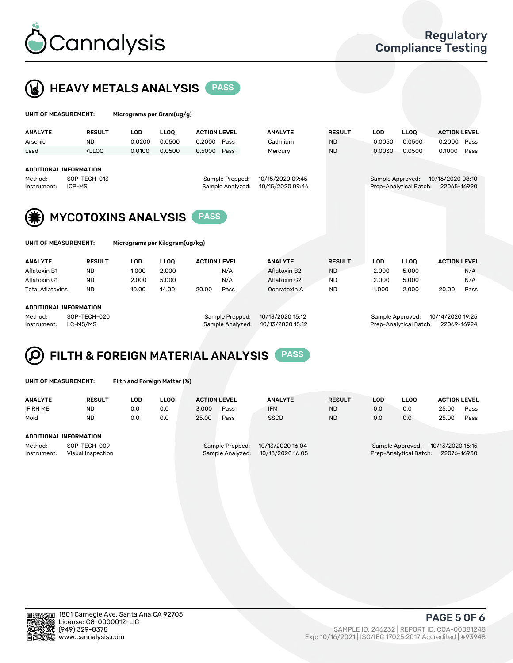



| UNIT OF MEASUREMENT:                                                                                                                                             |               |            | Micrograms per Gram(ug/g)      |                     |      |                |                                                                               |            |             |                     |      |
|------------------------------------------------------------------------------------------------------------------------------------------------------------------|---------------|------------|--------------------------------|---------------------|------|----------------|-------------------------------------------------------------------------------|------------|-------------|---------------------|------|
| <b>ANALYTE</b>                                                                                                                                                   | <b>RESULT</b> | <b>LOD</b> | <b>LLOO</b>                    | <b>ACTION LEVEL</b> |      | <b>ANALYTE</b> | <b>RESULT</b>                                                                 | <b>LOD</b> | <b>LLOQ</b> | <b>ACTION LEVEL</b> |      |
| Arsenic                                                                                                                                                          | <b>ND</b>     | 0.0200     | 0.0500                         | 0.2000              | Pass | Cadmium        | <b>ND</b>                                                                     | 0.0050     | 0.0500      | 0.2000              | Pass |
| Lead                                                                                                                                                             | $<$ LLOO      | 0.0100     | 0.0500                         | 0.5000              | Pass | Mercury        | <b>ND</b>                                                                     | 0.0030     | 0.0500      | 0.1000              | Pass |
| <b>ADDITIONAL INFORMATION</b><br>SOP-TECH-013<br>10/15/2020 09:45<br>Method:<br>Sample Prepped:<br>ICP-MS<br>10/15/2020 09:46<br>Sample Analyzed:<br>Instrument: |               |            |                                |                     |      |                | 10/16/2020 08:10<br>Sample Approved:<br>Prep-Analytical Batch:<br>22065-16990 |            |             |                     |      |
| <b>MYCOTOXINS ANALYSIS</b><br><b>PASS</b>                                                                                                                        |               |            |                                |                     |      |                |                                                                               |            |             |                     |      |
| UNIT OF MEASUREMENT:                                                                                                                                             |               |            | Micrograms per Kilogram(ug/kg) |                     |      |                |                                                                               |            |             |                     |      |
| <b>ANALYTE</b>                                                                                                                                                   | <b>RESULT</b> | <b>LOD</b> | <b>LLOO</b>                    | <b>ACTION LEVEL</b> |      | <b>ANALYTE</b> | <b>RESULT</b>                                                                 | <b>LOD</b> | <b>LLOQ</b> | <b>ACTION LEVEL</b> |      |
| Aflatoxin B1                                                                                                                                                     | <b>ND</b>     | 1.000      | 2.000                          |                     | N/A  | Aflatoxin B2   | <b>ND</b>                                                                     | 2.000      | 5.000       |                     | N/A  |
| Aflatoxin G1                                                                                                                                                     | <b>ND</b>     | 2.000      | 5.000                          |                     | N/A  | Aflatoxin G2   | <b>ND</b>                                                                     | 2.000      | 5.000       |                     | N/A  |
| <b>Total Aflatoxins</b>                                                                                                                                          | <b>ND</b>     | 10.00      | 14.00                          | 20.00               | Pass | Ochratoxin A   | <b>ND</b>                                                                     | 1.000      | 2.000       | 20.00               | Pass |

#### ADDITIONAL INFORMATION

Method: SOP-TECH-020 Sample Prepped: 10/13/2020 15:12 Sample Approved: 10/14/2020 19:25 Instrument: LC-MS/MS Sample Analyzed: 10/13/2020 15:12 Prep-Analytical Batch: 22069-16924

### FILTH & FOREIGN MATERIAL ANALYSIS PASS Q

UNIT OF MEASUREMENT: Filth and Foreign Matter (%)

| <b>ANALYTE</b>                                              | <b>RESULT</b> | LOD | <b>LLOO</b> | <b>ACTION LEVEL</b>                                                         |      | <b>ANALYTE</b> | <b>RESULT</b>                                                                 | LOD | LLOO | <b>ACTION LEVEL</b> |      |
|-------------------------------------------------------------|---------------|-----|-------------|-----------------------------------------------------------------------------|------|----------------|-------------------------------------------------------------------------------|-----|------|---------------------|------|
| IF RH ME                                                    | <b>ND</b>     | 0.0 | 0.0         | 3.000                                                                       | Pass | <b>IFM</b>     | <b>ND</b>                                                                     | 0.0 | 0.0  | 25.00               | Pass |
| Mold                                                        | <b>ND</b>     | 0.0 | 0.0         | 25.00                                                                       | Pass | <b>SSCD</b>    | <b>ND</b>                                                                     | 0.0 | 0.0  | 25.00               | Pass |
| ADDITIONAL INFORMATION                                      |               |     |             |                                                                             |      |                |                                                                               |     |      |                     |      |
| Method:<br>SOP-TECH-009<br>Instrument:<br>Visual Inspection |               |     |             | 10/13/2020 16:04<br>Sample Prepped:<br>10/13/2020 16:05<br>Sample Analyzed: |      |                | 10/13/2020 16:15<br>Sample Approved:<br>Prep-Analytical Batch:<br>22076-16930 |     |      |                     |      |



PAGE 5 OF 6